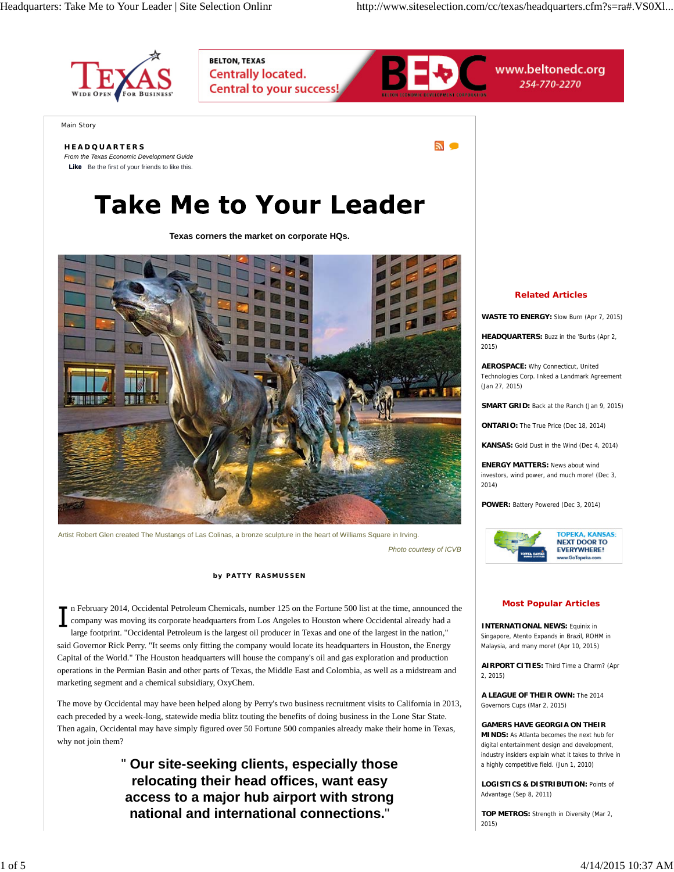$\sim$ 



Main Story

#### **HEADQUARTERS**

*From the Texas Economic Development Guide* **Like** Be the first of your friends to like this.

# **Take Me to Your Leader**

**BELTON, TEXAS** 

**Centrally located.** 

**Central to your success!** 

**Texas corners the market on corporate HQs.**



Artist Robert Glen created The Mustangs of Las Colinas, a bronze sculpture in the heart of Williams Square in Irving. *Photo courtesy of ICVB*

**by PATTY RASMUSSEN**

n February 2014, Occidental Petroleum Chemicals, number 125 on the Fortune 500 list at the time, announced the company was moving its corporate headquarters from Los Angeles to Houston where Occidental already had a large footprint. "Occidental Petroleum is the largest oil producer in Texas and one of the largest in the nation," said Governor Rick Perry. "It seems only fitting the company would locate its headquarters in Houston, the Energy Capital of the World." The Houston headquarters will house the company's oil and gas exploration and production operations in the Permian Basin and other parts of Texas, the Middle East and Colombia, as well as a midstream and marketing segment and a chemical subsidiary, OxyChem.

The move by Occidental may have been helped along by Perry's two business recruitment visits to California in 2013, each preceded by a week-long, statewide media blitz touting the benefits of doing business in the Lone Star State. Then again, Occidental may have simply figured over 50 Fortune 500 companies already make their home in Texas, why not join them?

> " **Our site-seeking clients, especially those relocating their head offices, want easy access to a major hub airport with strong national and international connections.**"

## **Related Articles**

www.beltonedc.org

254-770-2270

**WASTE TO ENERGY:** Slow Burn (Apr 7, 2015)

**HEADQUARTERS:** Buzz in the 'Burbs (Apr 2, 2015)

**AEROSPACE:** Why Connecticut, United Technologies Corp. Inked a Landmark Agreement (Jan 27, 2015)

**SMART GRID:** Back at the Ranch (Jan 9, 2015)

**ONTARIO:** The True Price (Dec 18, 2014)

**KANSAS:** Gold Dust in the Wind (Dec 4, 2014)

**ENERGY MATTERS:** News about wind investors, wind power, and much more! (Dec 3, 2014)

**POWER:** Battery Powered (Dec 3, 2014)



#### **Most Popular Articles**

**INTERNATIONAL NEWS: Faulnix in** Singapore, Atento Expands in Brazil, ROHM in Malaysia, and many more! (Apr 10, 2015)

**AIRPORT CITIES:** Third Time a Charm? (Apr 2, 2015)

**A LEAGUE OF THEIR OWN:** The 2014 Governors Cups (Mar 2, 2015)

**GAMERS HAVE GEORGIA ON THEIR MINDS:** As Atlanta becomes the next hub for digital entertainment design and development, industry insiders explain what it takes to thrive in a highly competitive field. (Jun 1, 2010)

**LOGISTICS & DISTRIBUTION:** Points of Advantage (Sep 8, 2011)

**TOP METROS:** Strength in Diversity (Mar 2, 2015)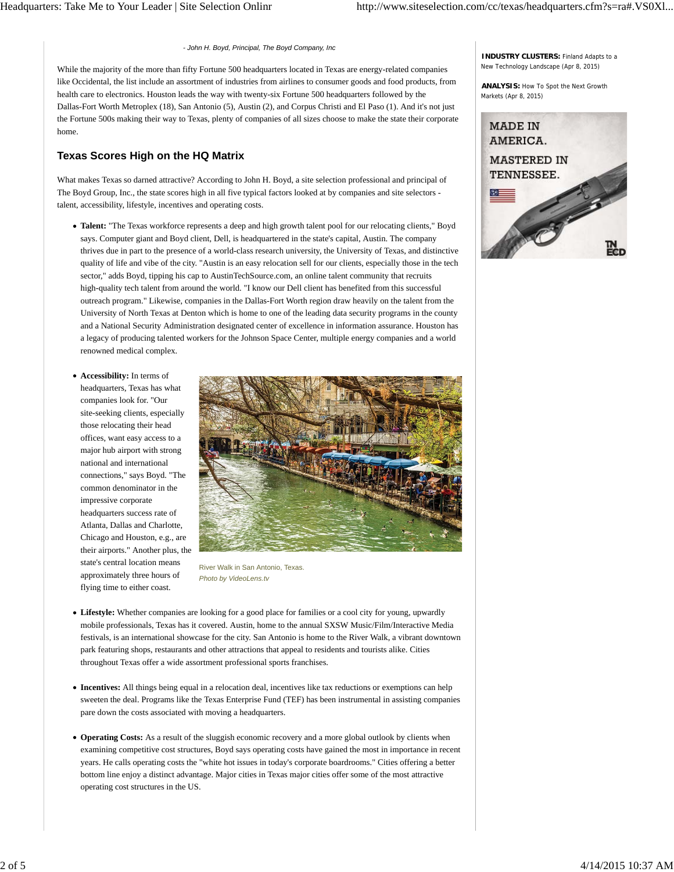#### *- John H. Boyd, Principal, The Boyd Company, Inc*

While the majority of the more than fifty Fortune 500 headquarters located in Texas are energy-related companies like Occidental, the list include an assortment of industries from airlines to consumer goods and food products, from health care to electronics. Houston leads the way with twenty-six Fortune 500 headquarters followed by the Dallas-Fort Worth Metroplex (18), San Antonio (5), Austin (2), and Corpus Christi and El Paso (1). And it's not just the Fortune 500s making their way to Texas, plenty of companies of all sizes choose to make the state their corporate home.

## **Texas Scores High on the HQ Matrix**

What makes Texas so darned attractive? According to John H. Boyd, a site selection professional and principal of The Boyd Group, Inc., the state scores high in all five typical factors looked at by companies and site selectors talent, accessibility, lifestyle, incentives and operating costs.

- **Talent:** "The Texas workforce represents a deep and high growth talent pool for our relocating clients," Boyd says. Computer giant and Boyd client, Dell, is headquartered in the state's capital, Austin. The company thrives due in part to the presence of a world-class research university, the University of Texas, and distinctive quality of life and vibe of the city. "Austin is an easy relocation sell for our clients, especially those in the tech sector," adds Boyd, tipping his cap to AustinTechSource.com, an online talent community that recruits high-quality tech talent from around the world. "I know our Dell client has benefited from this successful outreach program." Likewise, companies in the Dallas-Fort Worth region draw heavily on the talent from the University of North Texas at Denton which is home to one of the leading data security programs in the county and a National Security Administration designated center of excellence in information assurance. Houston has a legacy of producing talented workers for the Johnson Space Center, multiple energy companies and a world renowned medical complex.
- **Accessibility:** In terms of headquarters, Texas has what companies look for. "Our site-seeking clients, especially those relocating their head offices, want easy access to a major hub airport with strong national and international connections," says Boyd. "The common denominator in the impressive corporate headquarters success rate of Atlanta, Dallas and Charlotte, Chicago and Houston, e.g., are their airports." Another plus, the state's central location means approximately three hours of flying time to either coast.



River Walk in San Antonio, Texas. *Photo by VideoLens.tv*

- **Lifestyle:** Whether companies are looking for a good place for families or a cool city for young, upwardly mobile professionals, Texas has it covered. Austin, home to the annual SXSW Music/Film/Interactive Media festivals, is an international showcase for the city. San Antonio is home to the River Walk, a vibrant downtown park featuring shops, restaurants and other attractions that appeal to residents and tourists alike. Cities throughout Texas offer a wide assortment professional sports franchises.
- **Incentives:** All things being equal in a relocation deal, incentives like tax reductions or exemptions can help sweeten the deal. Programs like the Texas Enterprise Fund (TEF) has been instrumental in assisting companies pare down the costs associated with moving a headquarters.
- **Operating Costs:** As a result of the sluggish economic recovery and a more global outlook by clients when examining competitive cost structures, Boyd says operating costs have gained the most in importance in recent years. He calls operating costs the "white hot issues in today's corporate boardrooms." Cities offering a better bottom line enjoy a distinct advantage. Major cities in Texas major cities offer some of the most attractive operating cost structures in the US.

**INDUSTRY CLUSTERS:** Finland Adapts to a New Technology Landscape (Apr 8, 2015)

**ANALYSIS:** How To Spot the Next Growth Markets (Apr 8, 2015)

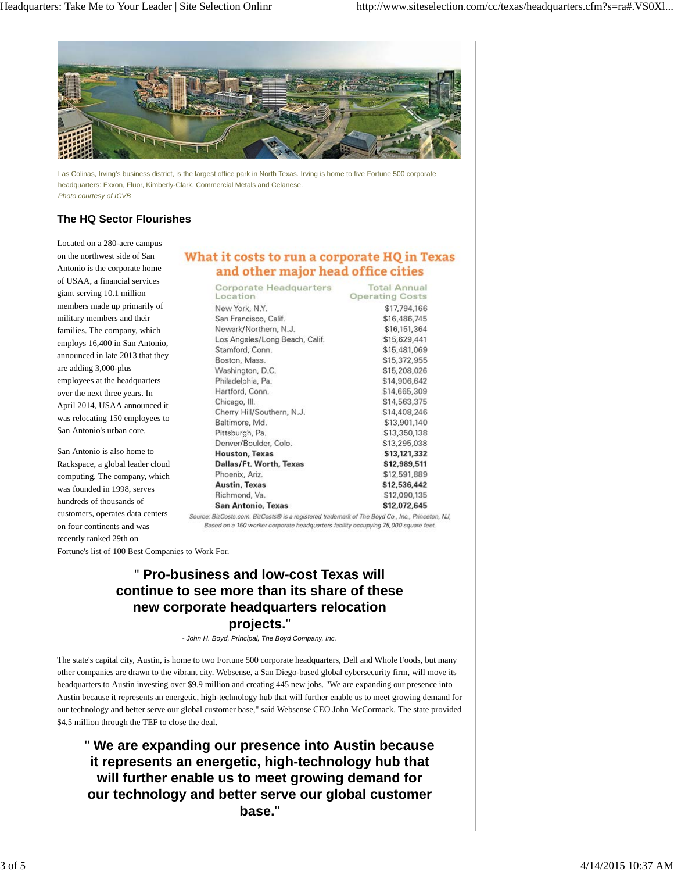

Las Colinas, Irving's business district, is the largest office park in North Texas. Irving is home to five Fortune 500 corporate headquarters: Exxon, Fluor, Kimberly-Clark, Commercial Metals and Celanese. *Photo courtesy of ICVB*

## **The HQ Sector Flourishes**

Located on a 280-acre campus on the northwest side of San Antonio is the corporate home of USAA, a financial services giant serving 10.1 million members made up primarily of military members and their families. The company, which employs 16,400 in San Antonio, announced in late 2013 that they are adding 3,000-plus employees at the headquarters over the next three years. In April 2014, USAA announced it was relocating 150 employees to San Antonio's urban core.

San Antonio is also home to Rackspace, a global leader cloud computing. The company, which was founded in 1998, serves hundreds of thousands of customers, operates data centers on four continents and was recently ranked 29th on

# What it costs to run a corporate HQ in Texas and other major head office cities

| <b>Corporate Headquarters</b><br>Location | <b>Total Annual</b><br><b>Operating Costs</b> |
|-------------------------------------------|-----------------------------------------------|
| New York, N.Y.                            | \$17,794,166                                  |
| San Francisco, Calif.                     | \$16,486,745                                  |
| Newark/Northern, N.J.                     | \$16,151,364                                  |
| Los Angeles/Long Beach, Calif.            | \$15,629,441                                  |
| Stamford, Conn.                           | \$15,481,069                                  |
| Boston, Mass.                             | \$15,372,955                                  |
| Washington, D.C.                          | \$15,208,026                                  |
| Philadelphia, Pa.                         | \$14,906,642                                  |
| Hartford, Conn.                           | \$14,665,309                                  |
| Chicago, Ill.                             | \$14,563,375                                  |
| Cherry Hill/Southern, N.J.                | \$14,408,246                                  |
| Baltimore, Md.                            | \$13,901,140                                  |
| Pittsburgh, Pa.                           | \$13,350,138                                  |
| Denver/Boulder, Colo.                     | \$13,295,038                                  |
| <b>Houston, Texas</b>                     | \$13,121,332                                  |
| Dallas/Ft. Worth, Texas                   | \$12,989,511                                  |
| Phoenix, Ariz.                            | \$12,591,889                                  |
| Austin, Texas                             | \$12,536,442                                  |
| Richmond, Va.                             | \$12,090,135                                  |
| San Antonio, Texas                        | \$12,072,645                                  |
|                                           |                                               |

Source: BizCosts.com. BizCosts@ is a registered trademark of The Boyd Co., Inc., Princeton, NJ, Based on a 150 worker corporate headquarters facility occupying 75,000 square feet.

Fortune's list of 100 Best Companies to Work For.

# " **Pro-business and low-cost Texas will continue to see more than its share of these new corporate headquarters relocation projects.**"

*- John H. Boyd, Principal, The Boyd Company, Inc.*

The state's capital city, Austin, is home to two Fortune 500 corporate headquarters, Dell and Whole Foods, but many other companies are drawn to the vibrant city. Websense, a San Diego-based global cybersecurity firm, will move its headquarters to Austin investing over \$9.9 million and creating 445 new jobs. "We are expanding our presence into Austin because it represents an energetic, high-technology hub that will further enable us to meet growing demand for our technology and better serve our global customer base," said Websense CEO John McCormack. The state provided \$4.5 million through the TEF to close the deal.

" **We are expanding our presence into Austin because it represents an energetic, high-technology hub that will further enable us to meet growing demand for our technology and better serve our global customer base.**"